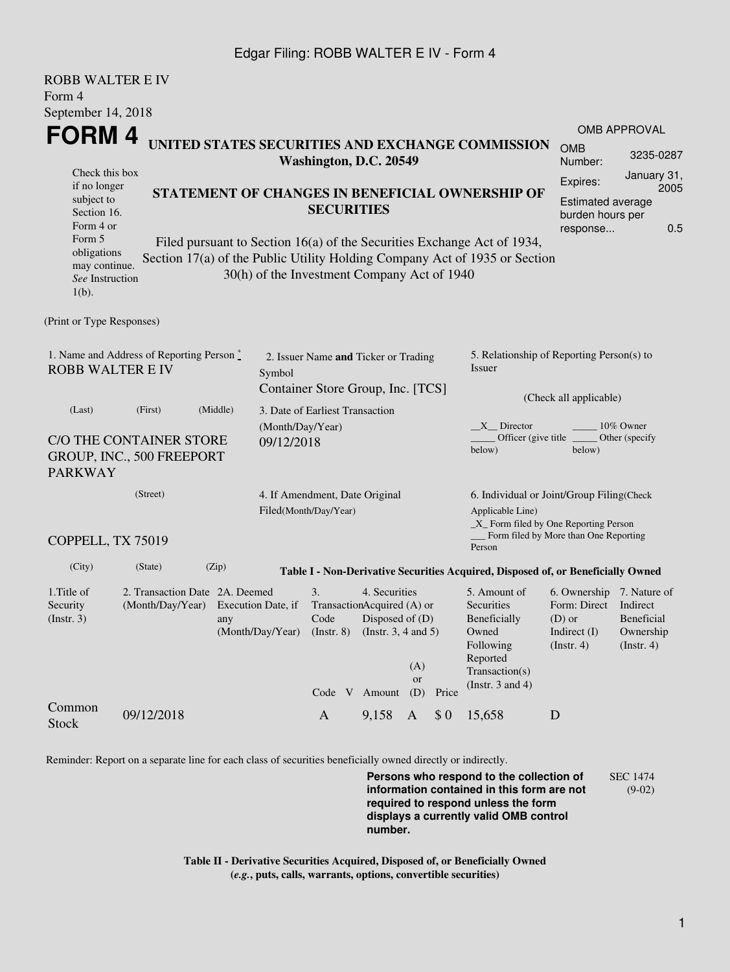## Edgar Filing: ROBB WALTER E IV - Form 4

| <b>ROBB WALTER E IV</b><br>Form 4                                                                                                                                                                                                                                                                                                                                                                                                 |                                                                                      |                                                                                                  |                                                                      |              |                                                         |                                                                                                                     |                  |                                                                      |                                                                                                                         |                                                                                      |                                                                |  |
|-----------------------------------------------------------------------------------------------------------------------------------------------------------------------------------------------------------------------------------------------------------------------------------------------------------------------------------------------------------------------------------------------------------------------------------|--------------------------------------------------------------------------------------|--------------------------------------------------------------------------------------------------|----------------------------------------------------------------------|--------------|---------------------------------------------------------|---------------------------------------------------------------------------------------------------------------------|------------------|----------------------------------------------------------------------|-------------------------------------------------------------------------------------------------------------------------|--------------------------------------------------------------------------------------|----------------------------------------------------------------|--|
| September 14, 2018                                                                                                                                                                                                                                                                                                                                                                                                                |                                                                                      |                                                                                                  |                                                                      |              |                                                         |                                                                                                                     |                  |                                                                      |                                                                                                                         |                                                                                      |                                                                |  |
|                                                                                                                                                                                                                                                                                                                                                                                                                                   | FORM 4<br>UNITED STATES SECURITIES AND EXCHANGE COMMISSION<br>Washington, D.C. 20549 |                                                                                                  |                                                                      |              |                                                         |                                                                                                                     |                  |                                                                      | <b>OMB</b><br>Number:                                                                                                   | <b>OMB APPROVAL</b><br>3235-0287                                                     |                                                                |  |
| Check this box<br>if no longer<br>STATEMENT OF CHANGES IN BENEFICIAL OWNERSHIP OF<br>subject to<br><b>SECURITIES</b><br>Section 16.<br>Form 4 or<br>Form 5<br>Filed pursuant to Section 16(a) of the Securities Exchange Act of 1934,<br>obligations<br>Section 17(a) of the Public Utility Holding Company Act of 1935 or Section<br>may continue.<br>30(h) of the Investment Company Act of 1940<br>See Instruction<br>$1(b)$ . |                                                                                      |                                                                                                  |                                                                      |              |                                                         |                                                                                                                     |                  | Expires:<br><b>Estimated average</b><br>burden hours per<br>response | January 31,<br>2005<br>0.5                                                                                              |                                                                                      |                                                                |  |
| (Print or Type Responses)                                                                                                                                                                                                                                                                                                                                                                                                         |                                                                                      |                                                                                                  |                                                                      |              |                                                         |                                                                                                                     |                  |                                                                      |                                                                                                                         |                                                                                      |                                                                |  |
| 1. Name and Address of Reporting Person *<br><b>ROBB WALTER E IV</b><br>(Middle)<br>(Last)<br>(First)                                                                                                                                                                                                                                                                                                                             |                                                                                      |                                                                                                  | 2. Issuer Name and Ticker or Trading<br>Symbol                       |              |                                                         |                                                                                                                     |                  |                                                                      | 5. Relationship of Reporting Person(s) to<br>Issuer                                                                     |                                                                                      |                                                                |  |
|                                                                                                                                                                                                                                                                                                                                                                                                                                   |                                                                                      |                                                                                                  | Container Store Group, Inc. [TCS]<br>3. Date of Earliest Transaction |              |                                                         |                                                                                                                     |                  |                                                                      | (Check all applicable)                                                                                                  |                                                                                      |                                                                |  |
| <b>PARKWAY</b>                                                                                                                                                                                                                                                                                                                                                                                                                    | C/O THE CONTAINER STORE<br>GROUP, INC., 500 FREEPORT                                 |                                                                                                  | (Month/Day/Year)<br>09/12/2018                                       |              |                                                         |                                                                                                                     |                  |                                                                      | X Director<br>Officer (give title)<br>below)                                                                            | below)                                                                               | 10% Owner<br>Other (specify)                                   |  |
|                                                                                                                                                                                                                                                                                                                                                                                                                                   | (Street)                                                                             |                                                                                                  |                                                                      |              | 4. If Amendment, Date Original<br>Filed(Month/Day/Year) |                                                                                                                     |                  |                                                                      | 6. Individual or Joint/Group Filing(Check<br>Applicable Line)<br>_X_ Form filed by One Reporting Person                 |                                                                                      |                                                                |  |
| COPPELL, TX 75019                                                                                                                                                                                                                                                                                                                                                                                                                 |                                                                                      |                                                                                                  |                                                                      |              |                                                         |                                                                                                                     |                  |                                                                      | Person                                                                                                                  | Form filed by More than One Reporting                                                |                                                                |  |
| (City)                                                                                                                                                                                                                                                                                                                                                                                                                            | (State)                                                                              | (Zip)                                                                                            |                                                                      |              |                                                         |                                                                                                                     |                  |                                                                      | Table I - Non-Derivative Securities Acquired, Disposed of, or Beneficially Owned                                        |                                                                                      |                                                                |  |
| 1. Title of<br>Security<br>(Instr. 3)                                                                                                                                                                                                                                                                                                                                                                                             |                                                                                      | 2. Transaction Date 2A. Deemed<br>(Month/Day/Year) Execution Date, if<br>any<br>(Month/Day/Year) |                                                                      |              |                                                         | 4. Securities<br>TransactionAcquired (A) or<br>Disposed of $(D)$<br>(Instr. 8) (Instr. 3, 4 and 5)<br>Code V Amount | (A)<br>or<br>(D) | Price                                                                | 5. Amount of<br>Securities<br>Beneficially<br>Owned<br>Following<br>Reported<br>Transaction(s)<br>(Instr. $3$ and $4$ ) | 6. Ownership 7. Nature of<br>Form: Direct<br>$(D)$ or<br>Indirect (I)<br>(Insert. 4) | Indirect<br><b>Beneficial</b><br>Ownership<br>$($ Instr. 4 $)$ |  |
| Common<br><b>Stock</b>                                                                                                                                                                                                                                                                                                                                                                                                            | 09/12/2018                                                                           |                                                                                                  |                                                                      | $\mathbf{A}$ |                                                         | 9,158                                                                                                               | $\mathbf{A}$     | \$0                                                                  | 15,658                                                                                                                  | D                                                                                    |                                                                |  |

Reminder: Report on a separate line for each class of securities beneficially owned directly or indirectly.

**Persons who respond to the collection of information contained in this form are not required to respond unless the form displays a currently valid OMB control number.** SEC 1474 (9-02)

**Table II - Derivative Securities Acquired, Disposed of, or Beneficially Owned (***e.g.***, puts, calls, warrants, options, convertible securities)**